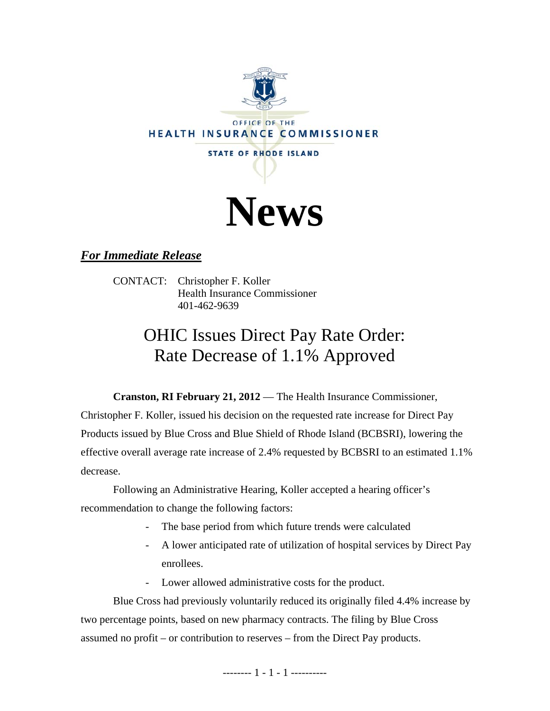



## *For Immediate Release*

CONTACT: Christopher F. Koller Health Insurance Commissioner 401-462-9639

# OHIC Issues Direct Pay Rate Order: Rate Decrease of 1.1% Approved

**Cranston, RI February 21, 2012** — The Health Insurance Commissioner, Christopher F. Koller, issued his decision on the requested rate increase for Direct Pay Products issued by Blue Cross and Blue Shield of Rhode Island (BCBSRI), lowering the effective overall average rate increase of 2.4% requested by BCBSRI to an estimated 1.1% decrease.

Following an Administrative Hearing, Koller accepted a hearing officer's recommendation to change the following factors:

- The base period from which future trends were calculated
- A lower anticipated rate of utilization of hospital services by Direct Pay enrollees.
- Lower allowed administrative costs for the product.

Blue Cross had previously voluntarily reduced its originally filed 4.4% increase by two percentage points, based on new pharmacy contracts. The filing by Blue Cross assumed no profit – or contribution to reserves – from the Direct Pay products.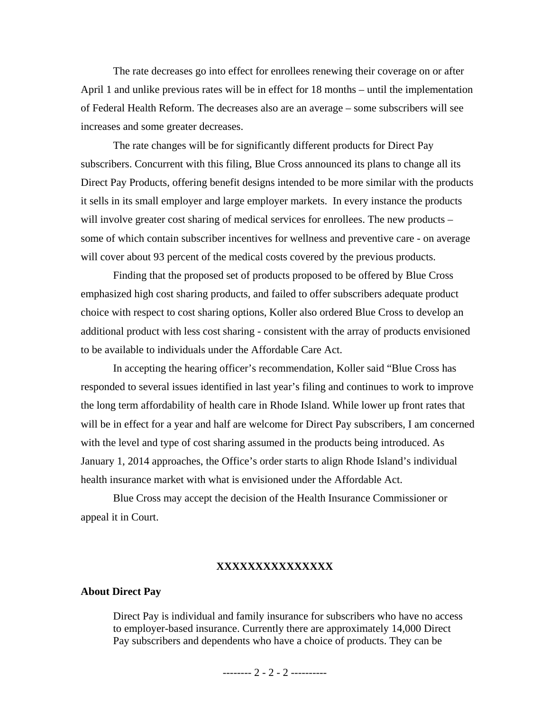The rate decreases go into effect for enrollees renewing their coverage on or after April 1 and unlike previous rates will be in effect for 18 months – until the implementation of Federal Health Reform. The decreases also are an average – some subscribers will see increases and some greater decreases.

The rate changes will be for significantly different products for Direct Pay subscribers. Concurrent with this filing, Blue Cross announced its plans to change all its Direct Pay Products, offering benefit designs intended to be more similar with the products it sells in its small employer and large employer markets. In every instance the products will involve greater cost sharing of medical services for enrollees. The new products – some of which contain subscriber incentives for wellness and preventive care - on average will cover about 93 percent of the medical costs covered by the previous products.

Finding that the proposed set of products proposed to be offered by Blue Cross emphasized high cost sharing products, and failed to offer subscribers adequate product choice with respect to cost sharing options, Koller also ordered Blue Cross to develop an additional product with less cost sharing - consistent with the array of products envisioned to be available to individuals under the Affordable Care Act.

In accepting the hearing officer's recommendation, Koller said "Blue Cross has responded to several issues identified in last year's filing and continues to work to improve the long term affordability of health care in Rhode Island. While lower up front rates that will be in effect for a year and half are welcome for Direct Pay subscribers, I am concerned with the level and type of cost sharing assumed in the products being introduced. As January 1, 2014 approaches, the Office's order starts to align Rhode Island's individual health insurance market with what is envisioned under the Affordable Act.

Blue Cross may accept the decision of the Health Insurance Commissioner or appeal it in Court.

#### **XXXXXXXXXXXXXXX**

#### **About Direct Pay**

Direct Pay is individual and family insurance for subscribers who have no access to employer-based insurance. Currently there are approximately 14,000 Direct Pay subscribers and dependents who have a choice of products. They can be

-------- 2 - 2 - 2 ----------